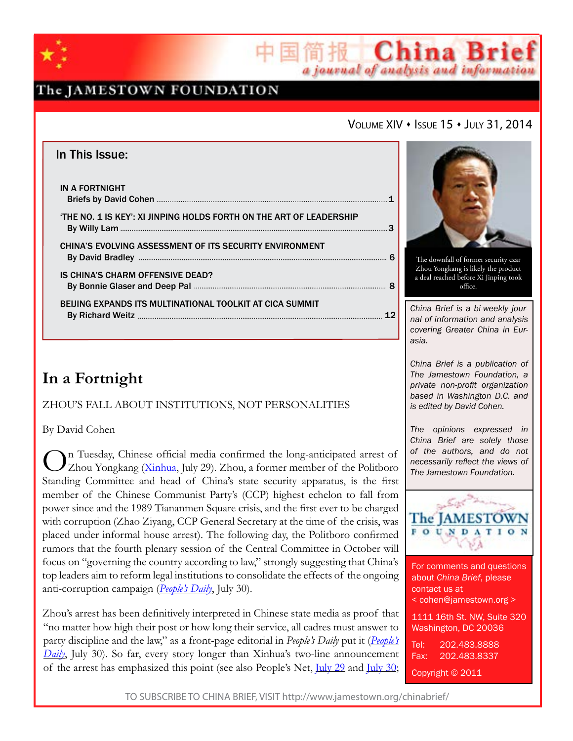

# The JAMESTOWN FOUNDATION

# VOLUME XIV • ISSUE 15 • JULY 31, 2014

国简报 China Brief

a journal of analysis and information

| In This Issue:                                                      |  |
|---------------------------------------------------------------------|--|
| IN A FORTNIGHT                                                      |  |
| 'THE NO. 1 IS KEY': XI JINPING HOLDS FORTH ON THE ART OF LEADERSHIP |  |
| <b>CHINA'S EVOLVING ASSESSMENT OF ITS SECURITY ENVIRONMENT</b>      |  |
| IS CHINA'S CHARM OFFENSIVE DEAD?                                    |  |
| BEIJING EXPANDS ITS MULTINATIONAL TOOLKIT AT CICA SUMMIT            |  |

# **In a Fortnight**

ZHOU'S FALL ABOUT INSTITUTIONS, NOT PERSONALITIES

By David Cohen

On Tuesday, Chinese official media confirmed the long-anticipated arrest of <br>Zhou Yongkang (<u>[Xinhua](http://news.xinhuanet.com/politics/2014-07/29/c_1111853756.htm)</u>, July 29). Zhou, a former member of the Politboro Standing Committee and head of China's state security apparatus, is the first member of the Chinese Communist Party's (CCP) highest echelon to fall from power since and the 1989 Tiananmen Square crisis, and the first ever to be charged with corruption (Zhao Ziyang, CCP General Secretary at the time of the crisis, was placed under informal house arrest). The following day, the Politboro confirmed rumors that the fourth plenary session of the Central Committee in October will focus on "governing the country according to law," strongly suggesting that China's top leaders aim to reform legal institutions to consolidate the effects of the ongoing anti-corruption campaign (*[People's Daily](http://paper.people.com.cn/rmrb/html/2014-07/30/nw.D110000renmrb_20140730_2-01.htm)*, July 30).

Zhou's arrest has been definitively interpreted in Chinese state media as proof that "no matter how high their post or how long their service, all cadres must answer to party discipline and the law," as a front-page editorial in *People's Daily* put it (*[People's](http://paper.people.com.cn/rmrb/html/2014-07/30/nw.D110000renmrb_20140730_4-01.htm) [Daily](http://paper.people.com.cn/rmrb/html/2014-07/30/nw.D110000renmrb_20140730_4-01.htm)*, July 30). So far, every story longer than Xinhua's two-line announcement of the arrest has emphasized this point (see also People's Net, [July 29](http://politics.people.com.cn/n/2014/0729/c99014-25365331.html) and [July 30](http://politics.people.com.cn/n/2014/0730/c1001-25372496.html);



The downfall of former security czar Zhou Yongkang is likely the product a deal reached before Xi Jinping took office.

*China Brief is a bi-weekly journal of information and analysis covering Greater China in Eurasia.* 

*China Brief is a publication of The Jamestown Foundation, a private non-profit organization based in Washington D.C. and is edited by David Cohen.*

*The opinions expressed in China Brief are solely those of the authors, and do not necessarily reflect the views of The Jamestown Foundation.*



For comments and questions about *China Brief*, please contact us at < cohen@jamestown.org > 1111 16th St. NW, Suite 320 Washington, DC 20036 Tel: 202.483.8888 Fax: 202.483.8337 Copyright © 2011

TO SUBSCRIBE TO CHINA BRIEF, VISIT http://www.jamestown.org/chinabrief/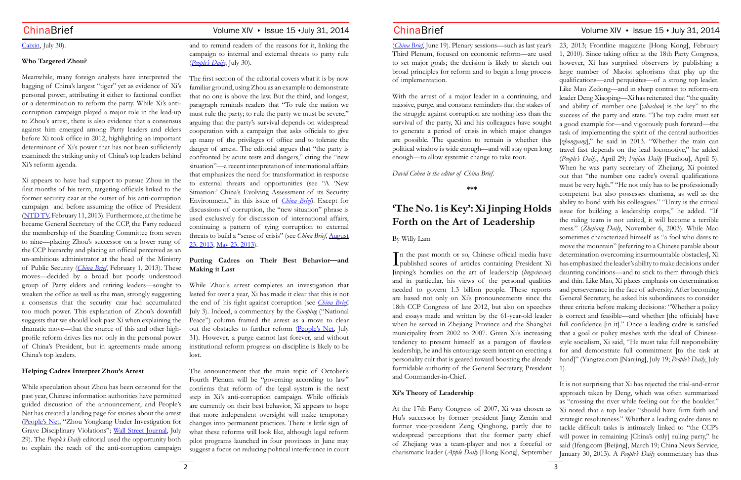# [Caixin](http://english.caixin.com/2014-07-30/100710856.html), July 30).

## **Who Targeted Zhou?**

Meanwhile, many foreign analysts have interpreted the bagging of China's largest "tiger" yet as evidence of Xi's personal power, attributing it either to factional conflict or a determination to reform the party. While Xi's anticorruption campaign played a major role in the lead-up to Zhou's arrest, there is also evidence that a consensus against him emerged among Party leaders and elders before Xi took office in 2012, highlighting an important determinant of Xi's power that has not been sufficiently examined: the striking unity of China's top leaders behind Xi's reform agenda.

Xi appears to have had support to pursue Zhou in the first months of his term, targeting officials linked to the former security czar at the outset of his anti-corruption campaign and before assuming the office of President ([NTD TV](http://www.ntd.tv/en/news/china/20130211/77210-is-xi-jinping-targeting-zhou-yongkang.html), February 11, 2013). Furthermore, at the time he became General Secretary of the CCP, the Party reduced the membership of the Standing Committee from seven to nine—placing Zhou's successor on a lower rung of the CCP hierarchy and placing an official perceived as an un-ambitious administrator at the head of the Ministry of Public Security (*[China Brief](http://www.jamestown.org/programs/chinabrief/single/?tx_ttnews%5Btt_news%5D=40401&tx_ttnews%5BbackPid%5D=688&no_cache=1#.U9kOA_ldXTo)*, February 1, 2013). These moves—decided by a broad but poorly understood group of Party elders and retiring leaders—sought to weaken the office as well as the man, strongly suggesting a consensus that the security czar had accumulated too much power. This explanation of Zhou's downfall suggests that we should look past Xi when explaining the dramatic move—that the source of this and other highprofile reform drives lies not only in the personal power of China's President, but in agreements made among China's top leaders.

# **Helping Cadres Interpret Zhou's Arrest**

While speculation about Zhou has been censored for the past year, Chinese information authorities have permitted guided discussion of the announcement, and People's Net has created a landing page for stories about the arrest [\(People's Net](http://politics.people.com.cn/GB/8198/387193/index.html), "Zhou Yongkang Under Investigation for Grave Disciplinary Violations"; [Wall Street Journal](http://blogs.wsj.com/chinarealtime/2014/07/29/fall-of-zhou-yongkang-lights-up-chinas-internet/), July 29). The *People's Daily* editorial used the opportunity both to explain the reach of the anti-corruption campaign

and to remind readers of the reasons for it, linking the campaign to internal and external threats to party rule (*[People's Daily](http://paper.people.com.cn/rmrb/html/2014-07/30/nw.D110000renmrb_20140730_4-01.htm)*, July 30).

The first section of the editorial covers what it is by now familiar ground, using Zhou as an example to demonstrate that no one is above the law. But the third, and longest, paragraph reminds readers that "To rule the nation we must rule the party; to rule the party we must be severe," arguing that the party's survival depends on widespread cooperation with a campaign that asks officials to give up many of the privileges of office and to tolerate the danger of arrest. The editorial argues that "the party is confronted by acute tests and dangers," citing the "new situation"—a recent interpretation of international affairs that emphasizes the need for transformation in response to external threats and opportunities (see "A 'New Situation:' China's Evolving Assessment of its Security Environment," in this issue of *[China Brief](http://www.jamestown.org/programs/chinabrief/single/?tx_ttnews%5Btt_news%5D=42690&tx_ttnews%5BbackPid%5D=25&cHash=a2e2aa7077cc6b608a3ab58390699076)*). Except for discussions of corruption, the "new situation" phrase is used exclusively for discussion of international affairs, continuing a pattern of tying corruption to external threats to build a "sense of crisis" (see *China Brief*, [August](http://www.jamestown.org/programs/chinabrief/single/?tx_ttnews%5Btt_news%5D=41299&tx_ttnews%5BbackPid%5D=688&no_cache=1) [23, 2013](http://www.jamestown.org/programs/chinabrief/single/?tx_ttnews%5Btt_news%5D=41299&tx_ttnews%5BbackPid%5D=688&no_cache=1), [May 23, 2013\)](http://www.jamestown.org/programs/chinabrief/single/?tx_ttnews%5Btt_news%5D=40912&tx_ttnews%5BbackPid%5D=688&no_cache=1#.U9keM_ldXTo).

# **Putting Cadres on Their Best Behavior—and Making it Last**

While Zhou's arrest completes an investigation that lasted for over a year, Xi has made it clear that this is not the end of his fight against corruption (see *[China Brief](http://www.jamestown.org/programs/chinabrief/single/?tx_ttnews%5Btt_news%5D=42580&tx_ttnews%5BbackPid%5D=758&no_cache=1)*, July 3). Indeed, a commentary by the *Guoping* ("National Peace") column framed the arrest as a move to clear out the obstacles to further reform [\(People's Net](http://opinion.people.com.cn/n/2014/0731/c1003-25377442.html), July 31). However, a purge cannot last forever, and without institutional reform progress on discipline is likely to be lost.

The announcement that the main topic of October's Fourth Plenum will be "governing according to law" confirms that reform of the legal system is the next step in Xi's anti-corruption campaign. While officials are currently on their best behavior, Xi appears to hope that more independent oversight will make temporary changes into permanent practices. There is little sign of what these reforms will look like, although legal reform pilot programs launched in four provinces in June may suggest a focus on reducing political interference in court

# **Forth on the Art of Leadership**

(*[China Brief](http://www.jamestown.org/programs/chinabrief/archivescb/2014/?no_cache=1&tx_publicationsttnews_pi2%5Bissue%5D=12)*, June 19). Plenary sessions—such as last year's 23, 2013; Frontline magazine [Hong Kong], February Third Plenum, focused on economic reform—are used to set major goals; the decision is likely to sketch out broad principles for reform and to begin a long process of implementation. With the arrest of a major leader in a continuing, and massive, purge, and constant reminders that the stakes of the struggle against corruption are nothing less than the survival of the party, Xi and his colleagues have sought to generate a period of crisis in which major changes are possible. The question to remain is whether this political window is wide enough—and will stay open long enough—to allow systemic change to take root. *David Cohen is the editor of China Brief.* **'The No. 1 is Key': Xi Jinping Holds**  By Willy Lam In the past month or so, Chinese official media have<br>published scores of articles containing President Xi published scores of articles containing President Xi Jinping's homilies on the art of leadership (*lingxiuxue*) and in particular, his views of the personal qualities needed to govern 1.3 billion people. These reports are based not only on Xi's pronouncements since the 18th CCP Congress of late 2012, but also on speeches and essays made and written by the 61-year-old leader when he served in Zhejiang Province and the Shanghai municipality from 2002 to 2007. Given Xi's increasing tendency to present himself as a paragon of flawless leadership, he and his entourage seem intent on erecting a personality cult that is geared toward boosting the already formidable authority of the General Secretary, President 1). and Commander-in-Chief.

**\*\*\*** 1, 2010). Since taking office at the 18th Party Congress, however, Xi has surprised observers by publishing a large number of Maoist aphorisms that play up the qualifications—and perquisites—of a strong top leader. Like Mao Zedong—and in sharp contrast to reform-era leader Deng Xiaoping—Xi has reiterated that "the quality and ability of number one [*yibashou*] is the key" to the success of the party and state. "The top cadre must set a good example for—and vigorously push forward—the task of implementing the spirit of the central authorities [*zhongyang*]," he said in 2013. "Whether the train can travel fast depends on the lead locomotive," he added (*People's Daily*, April 29; *Fujian Daily* [Fuzhou], April 5). When he was party secretary of Zhejiang, Xi pointed out that "the number one cadre's overall qualifications must be very high." "He not only has to be professionally competent but also possesses charisma, as well as the ability to bond with his colleagues." "Unity is the critical issue for building a leadership corps," he added. "If the ruling team is not united, it will become a terrible mess." (*Zhejiang Daily*, November 6, 2003). While Mao sometimes characterized himself as "a fool who dares to move the mountain" [referring to a Chinese parable about determination overcoming insurmountable obstacles], Xi has emphasized the leader's ability to make decisions under daunting conditions—and to stick to them through thick and thin. Like Mao, Xi places emphasis on determination and perseverance in the face of adversity. After becoming General Secretary, he asked his subordinates to consider three criteria before making decisions: "Whether a policy is correct and feasible—and whether [the officials] have full confidence [in it]." Once a leading cadre is satisfied that a goal or policy meshes with the ideal of Chinesestyle socialism, Xi said, "He must take full responsibility for and demonstrate full commitment [to the task at hand]" (Yangtze.com [Nanjing], July 19; *People's Daily*, July

**Xi's Theory of Leadership** At the 17th Party Congress of 2007, Xi was chosen as Hu's successor by former president Jiang Zemin and former vice-president Zeng Qinghong, partly due to widespread perceptions that the former party chief of Zhejiang was a team-player and not a forceful or charismatic leader (*Apple Daily* [Hong Kong], September It is not surprising that Xi has rejected the trial-and-error approach taken by Deng, which was often summarized as "crossing the river while feeling out for the boulder." Xi noted that a top leader "should have firm faith and strategic resoluteness." Whether a leading cadre dares to tackle difficult tasks is intimately linked to "the CCP's will power in remaining [China's only] ruling party," he said (Ifeng.com [Beijing], March 19; China News Service, January 30, 2013). A *People's Daily* commentary has thus

# ChinaBrief Volume XIV • Issue 15 • July 31, 2014 ChinaBrief Volume XIV • Issue 15 • July 31, 2014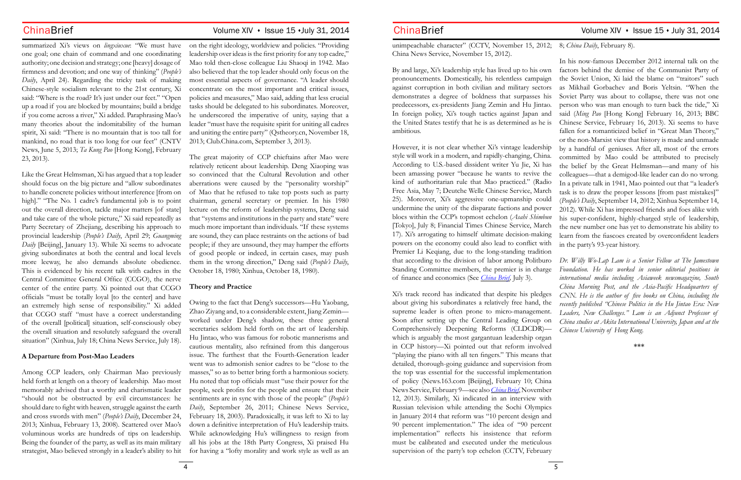summarized Xi's views on *lingxiuxue*: "We must have one goal; one chain of command and one coordinating authority; one decision and strategy; one [heavy] dosage of firmness and devotion; and one way of thinking" (*People's Daily*, April 24). Regarding the tricky task of making Chinese-style socialism relevant to the 21st century, Xi said: "Where is the road? It's just under our feet." "Open up a road if you are blocked by mountains; build a bridge if you come across a river," Xi added. Paraphrasing Mao's many theories about the indomitability of the human spirit, Xi said: "There is no mountain that is too tall for mankind, no road that is too long for our feet" (CNTV News, June 5, 2013; *Ta Kung Pao* [Hong Kong], February 23, 2013).

Like the Great Helmsman, Xi has argued that a top leader should focus on the big picture and "allow subordinates to handle concrete policies without interference [from on high]." "The No. 1 cadre's fundamental job is to point out the overall direction, tackle major matters [of state] and take care of the whole picture," Xi said repeatedly as Party Secretary of Zhejiang, describing his approach to provincial leadership (*People's Daily*, April 29; *Guangming Daily* [Beijing], January 13). While Xi seems to advocate giving subordinates at both the central and local levels more leeway, he also demands absolute obedience. This is evidenced by his recent talk with cadres in the Central Committee General Office (CCGO), the nerve center of the entire party. Xi pointed out that CCGO officials "must be totally loyal [to the center] and have an extremely high sense of responsibility." Xi added that CCGO staff "must have a correct understanding of the overall [political] situation, self-consciously obey the overall situation and resolutely safeguard the overall situation" (Xinhua, July 18; China News Service, July 18).

### **A Departure from Post-Mao Leaders**

on the right ideology, worldview and policies. "Providing leadership over ideas is the first priority for any top cadre," Mao told then-close colleague Liu Shaoqi in 1942. Mao also believed that the top leader should only focus on the most essential aspects of governance. "A leader should concentrate on the most important and critical issues, policies and measures," Mao said, adding that less crucial tasks should be delegated to his subordinates. Moreover, he underscored the imperative of unity, saying that a leader "must have the requisite spirit for uniting all cadres and uniting the entire party" (Qstheory.cn, November 18, 2013; Club.China.com, September 3, 2013).

Among CCP leaders, only Chairman Mao previously held forth at length on a theory of leadership. Mao most memorably advised that a worthy and charismatic leader "should not be obstructed by evil circumstances: he should dare to fight with heaven, struggle against the earth and cross swords with men" (*People's Daily*, December 24, 2013; Xinhua, February 13, 2008). Scattered over Mao's voluminous works are hundreds of tips on leadership. Being the founder of the party, as well as its main military strategist, Mao believed strongly in a leader's ability to hit for having a "lofty morality and work style as well as an

The great majority of CCP chieftains after Mao were relatively reticent about leadership. Deng Xiaoping was so convinced that the Cultural Revolution and other aberrations were caused by the "personality worship" of Mao that he refused to take top posts such as party chairman, general secretary or premier. In his 1980 lecture on the reform of leadership systems, Deng said that "systems and institutions in the party and state" were much more important than individuals. "If these systems are sound, they can place restraints on the actions of bad people; if they are unsound, they may hamper the efforts of good people or indeed, in certain cases, may push them in the wrong direction," Deng said (*People's Daily*, October 18, 1980; Xinhua, October 18, 1980).

### **Theory and Practice**

Owing to the fact that Deng's successors—Hu Yaobang, Zhao Ziyang and, to a considerable extent, Jiang Zemin worked under Deng's shadow, these three general secretaries seldom held forth on the art of leadership. Hu Jintao, who was famous for robotic mannerisms and cautious mentality, also refrained from this dangerous issue. The furthest that the Fourth-Generation leader went was to admonish senior cadres to be "close to the masses," so as to better bring forth a harmonious society. Hu noted that top officials must "use their power for the people, seek profits for the people and ensure that their sentiments are in sync with those of the people" (*People's Daily*, September 26, 2011; Chinese News Service, February 18, 2003). Paradoxically, it was left to Xi to lay down a definitive interpretation of Hu's leadership traits. While acknowledging Hu's willingness to resign from all his jobs at the 18th Party Congress, Xi praised Hu

unimpeachable character" (CCTV, November 15, 2012; 8; *China Daily*, February 8). China News Service, November 15, 2012).

By and large, Xi's leadership style has lived up to his own pronouncements. Domestically, his relentless campaign against corruption in both civilian and military sectors demonstrates a degree of boldness that surpasses his predecessors, ex-presidents Jiang Zemin and Hu Jintao. In foreign policy, Xi's tough tactics against Japan and the United States testify that he is as determined as he is ambitious. However, it is not clear whether Xi's vintage leadership style will work in a modern, and rapidly-changing, China. According to U.S.-based dissident writer Yu Jie, Xi has been amassing power "because he wants to revive the kind of authoritarian rule that Mao practiced." (Radio Free Asia, May 7; Deutche Welle Chinese Service, March 25). Moreover, Xi's aggressive one-upmanship could undermine the unity of the disparate factions and power blocs within the CCP's topmost echelon (*Asahi Shimbun* [Tokyo], July 8; Financial Times Chinese Service, March 17). Xi's arrogating to himself ultimate decision-making powers on the economy could also lead to conflict with In his now-famous December 2012 internal talk on the factors behind the demise of the Communist Party of the Soviet Union, Xi laid the blame on "traitors" such as Mikhail Gorbachev and Boris Yeltsin. "When the Soviet Party was about to collapse, there was not one person who was man enough to turn back the tide," Xi said (*Ming Pao* [Hong Kong] February 16, 2013; BBC Chinese Service, February 16, 2013). Xi seems to have fallen for a romanticized belief in "Great Man Theory," or the non-Marxist view that history is made and unmade by a handful of geniuses. After all, most of the errors committed by Mao could be attributed to precisely the belief by the Great Helmsman—and many of his colleagues—that a demigod-like leader can do no wrong. In a private talk in 1941, Mao pointed out that "a leader's task is to draw the proper lessons [from past mistakes]" (*People's Daily*, September 14, 2012; Xinhua September 14, 2012). While Xi has impressed friends and foes alike with his super-confident, highly-charged style of leadership, the new number one has yet to demonstrate his ability to learn from the fiascoes created by overconfident leaders in the party's 93-year history.

Xi's track record has indicated that despite his pledges about giving his subordinates a relatively free hand, the supreme leader is often prone to micro-management. Soon after setting up the Central Leading Group on Comprehensively Deepening Reforms (CLDCDR) which is arguably the most gargantuan leadership organ in CCP history—Xi pointed out that reform involved "playing the piano with all ten fingers." This means that detailed, thorough-going guidance and supervision from the top was essential for the successful implementation of policy (News.163.com [Beijing], February 10; China News Service, February 9—see also *[China Brief](http://www.jamestown.org/programs/chinabrief/single/?tx_ttnews%5Btt_news%5D=41651&tx_ttnews%5BbackPid%5D=688&no_cache=1)*, November 12, 2013). Similarly, Xi indicated in an interview with Russian television while attending the Sochi Olympics in January 2014 that reform was "10 percent design and 90 percent implementation." The idea of "90 percent implementation" reflects his insistence that reform must be calibrated and executed under the meticulous supervision of the party's top echelon (CCTV, February

# ChinaBrief Volume XIV · Issue 15 · July 31, 2014 ChinaBrief Volume XIV · Issue 15 · July 31, 2014

Premier Li Keqiang, due to the long-standing tradition that according to the division of labor among Politburo Standing Committee members, the premier is in charge of finance and economics (See *[China Brief,](http://www.jamestown.org/programs/chinabrief/single/?tx_ttnews%5Btt_news%5D=42581&tx_ttnews%5BbackPid%5D=758&no_cache=1)* July 3). *Dr. Willy Wo-Lap Lam is a Senior Fellow at The Jamestown Foundation. He has worked in senior editorial positions in* 

*international media including Asiaweek newsmagazine, South China Morning Post, and the Asia-Pacific Headquarters of CNN. He is the author of five books on China, including the recently published "Chinese Politics in the Hu Jintao Era: New Leaders, New Challenges." Lam is an Adjunct Professor of China studies at Akita International University, Japan and at the Chinese University of Hong Kong.*

**\*\*\***

- 
- 
-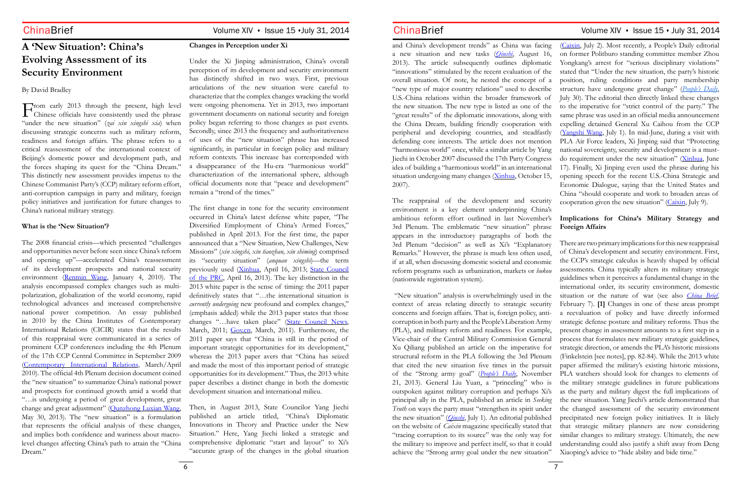# **A 'New Situation': China's Evolving Assessment of its Security Environment**

By David Bradley

The 2008 financial crisis—which presented "challenges and opportunities never before seen since China's reform and opening up"—accelerated China's reassessment of its development prospects and national security environment [\(Renmin Wang](http://theory.people.com.cn/GB/10695428.html), January 4, 2010). The analysis encompassed complex changes such as multipolarization, globalization of the world economy, rapid technological advances and increased comprehensive national power competition. An essay published in 2010 by the China Institutes of Contemporary International Relations (CICIR) states that the results of this reappraisal were communicated in a series of prominent CCP conferences including the 4th Plenum of the 17th CCP Central Committee in September 2009 [\(Contemporary International Relations](http://www.cicir.ac.cn/english/ArticleView.aspx?nid=1924), March/April 2010). The official 4th Plenum decision document coined the "new situation" to summarize China's national power and prospects for continued growth amid a world that "…is undergoing a period of great development, great change and great adjustment" ([Qunzhong Luxian Wang](http://qzlx.people.com.cn/n/2013/0530/c364581-21669817.html), May 30, 2013). The "new situation" is a formulation that represents the official analysis of these changes, and implies both confidence and wariness about macrolevel changes affecting China's path to attain the "China Dream."

From early 2013 through the present, high level  $\mathbf \perp$  Chinese officials have consistently used the phrase "under the new situation" (*zai xin xingshi xia*) when discussing strategic concerns such as military reform, readiness and foreign affairs. The phrase refers to a critical reassessment of the international context of Beijing's domestic power and development path, and the forces shaping its quest for the "China Dream." This distinctly new assessment provides impetus to the Chinese Communist Party's (CCP) military reform effort, anti-corruption campaign in party and military, foreign policy initiatives and justification for future changes to China's national military strategy.

# **What is the 'New Situation'?**

### **Changes in Perception under Xi**

and China's development trends" as China was facing a new situation and new tasks (*[Qiushi](http://www.qstheory.cn/zxdk/2013/201316/201308/t20130813_259197.htm)*, August 16, 2013). The article subsequently outlines diplomatic "innovations" stimulated by the recent evaluation of the overall situation. Of note, he nested the concept of a "new type of major country relations" used to describe U.S.-China relations within the broader framework of the new situation. The new type is listed as one of the "great results" of the diplomatic innovations, along with the China Dream, building friendly cooperation with peripheral and developing countries, and steadfastly defending core interests. The article does not mention "harmonious world" once, while a similar article by Yang Jiechi in October 2007 discussed the 17th Party Congress idea of building a "harmonious world" in an international situation undergoing many changes ([Xinhua](http://news.xinhuanet.com/newscenter/2007-10/15/content_6887008.htm), October 15, 2007). The reappraisal of the development and security ([Caixin](http://opinion.caixin.com/2014-07-02/100698631.html), July 2). Most recently, a People's Daily editorial on former Politburo standing committee member Zhou Yongkang's arrest for "serious disciplinary violations" stated that "Under the new situation, the party's historic position, ruling conditions and party membership structure have undergone great change" (*[People's Daily](http://paper.people.com.cn/rmrb/html/2014-07/30/nw.D110000renmrb_20140730_4-01.htm)*, July 30). The editorial then directly linked these changes to the imperative for "strict control of the party." The same phrase was used in an official media announcement expelling detained General Xu Caihou from the CCP [\(Yangshi Wang,](http://news.cntv.cn/2014/07/01/VIDE1404166860920107.shtml) July 1). In mid-June, during a visit with PLA Air Force leaders, Xi Jinping said that "Protecting national sovereignty, security and development is a mustdo requirement under the new situation" ([Xinhua,](http://news.xinhuanet.com/politics/2014-06/17/c_1111187775.htm) June 17). Finally, Xi Jinping even used the phrase during his opening speech for the recent U.S.-China Strategic and Economic Dialogue, saying that the United States and China "should cooperate and work to broaden areas of cooperation given the new situation" ( $C<sub>airsin</sub>$ , July 9).

Under the Xi Jinping administration, China's overall perception of its development and security environment has distinctly shifted in two ways. First, previous articulations of the new situation were careful to characterize that the complex changes wracking the world were ongoing phenomena. Yet in 2013, two important government documents on national security and foreign policy began referring to those changes as past events. Secondly, since 2013 the frequency and authoritativeness of uses of the "new situation" phrase has increased significantly, in particular in foreign policy and military reform contexts. This increase has corresponded with a disappearance of the Hu-era "harmonious world" characterization of the international sphere, although official documents note that "peace and development" remain a "trend of the times."

The first change in tone for the security environment occurred in China's latest defense white paper, "The Diversified Employment of China's Armed Forces," published in April 2013. For the first time, the paper announced that a "New Situation, New Challenges, New Missions" (*xin xingshi, xin tiaozhan, xin shiming*) comprised its "security situation" (*anquan xingshi*)—the term previously used ([Xinhua](http://www.gov.cn/jrzg/2013-04/16/content_2379013.htm), April 16, 2013; [State Council](http://www.china.org.cn/government/whitepaper/node_7181425.htm)  [of the PRC](http://www.china.org.cn/government/whitepaper/node_7181425.htm), April 16, 2013). The key distinction in the 2013 white paper is the sense of timing: the 2011 paper definitively states that "…the international situation is *currently undergoing* new profound and complex changes," (emphasis added) while the 2013 paper states that those changes "…have taken place" [\(State Council News](http://www.china.com.cn/ch-book/node_7114918.htm), March, 2011; [Gov.cn](http://english.gov.cn/official/2011-03/31/content_1835499_3.htm), March, 2011). Furthermore, the 2011 paper says that "China is still in the period of important strategic opportunities for its development," whereas the 2013 paper avers that "China has seized and made the most of this important period of strategic opportunities for its development." Thus, the 2013 white paper describes a distinct change in both the domestic development situation and international milieu.

Then, in August 2013, State Councilor Yang Jiechi published an article titled, "China's Diplomatic Innovations in Theory and Practice under the New Situation." Here, Yang Jiechi linked a strategic and comprehensive diplomatic "start and layout" to Xi's "accurate grasp of the changes in the global situation

environment is a key element underpinning China's ambitious reform effort outlined in last November's 3rd Plenum. The emblematic "new situation" phrase appears in the introductory paragraphs of both the

3rd Plenum "decision" as well as Xi's "Explanatory Remarks." However, the phrase is much less often used, if at all, when discussing domestic societal and economic reform programs such as urbanization, markets or *hukou*  (nationwide registration system). "New situation" analysis is overwhelmingly used in the context of areas relating directly to strategic security concerns and foreign affairs. That is, foreign policy, anticorruption in both party and the People's Liberation Army (PLA), and military reform and readiness. For example, Vice-chair of the Central Military Commission General Xu Qiliang published an article on the imperative for structural reform in the PLA following the 3rd Plenum that cited the new situation five times in the pursuit of the "Strong army goal" (*[People's Daily](http://cpc.people.com.cn/n/2013/1121/c64094-23610085.html)*, November 21, 2013). General Liu Yuan, a "princeling" who is outspoken against military corruption and perhaps Xi's principal ally in the PLA, published an article in *Seeking Truth* on ways the party must "strengthen its spirit under the new situation" (*[Qiushi](http://www.qstheory.cn/dukan/qs/2014-07/01/c_1111349405.htm)*, July 1). An editorial published on the website of *Caixin* magazine specifically stated that "tracing corruption to its source" was the only way for the military to improve and perfect itself, so that it could achieve the "Strong army goal under the new situation" There are two primary implications for this new reappraisal of China's development and security environment. First, the CCP's strategic calculus is heavily shaped by official assessments. China typically alters its military strategic guidelines when it perceives a fundamental change in the international order, its security environment, domestic situation or the nature of war (see also *[China Brief](http://www.jamestown.org/single/?tx_ttnews%5Btt_news%5D=41936&no_cache=1#.U9fllvldXTo)*, February 7). **[1]** Changes in one of these areas prompt a reevaluation of policy and have directly informed strategic defense posture and military reforms. Thus the present change in assessment amounts to a first step in a process that formulates new military strategic guidelines, strategic direction, or amends the PLA's historic missions (Finkelstein [see notes], pp. 82-84). While the 2013 white paper affirmed the military's existing historic missions, PLA watchers should look for changes to elements of the military strategic guidelines in future publications as the party and military digest the full implications of the new situation. Yang Jiechi's article demonstrated that the changed assessment of the security environment precipitated new foreign policy initiatives. It is likely that strategic military planners are now considering similar changes to military strategy. Ultimately, the new understanding could also justify a shift away from Deng Xiaoping's advice to "hide ability and bide time."

# ChinaBrief Volume XIV · Issue 15 · July 31, 2014 ChinaBrief Volume XIV · Issue 15 · July 31, 2014

# **Implications for China's Military Strategy and Foreign Affairs**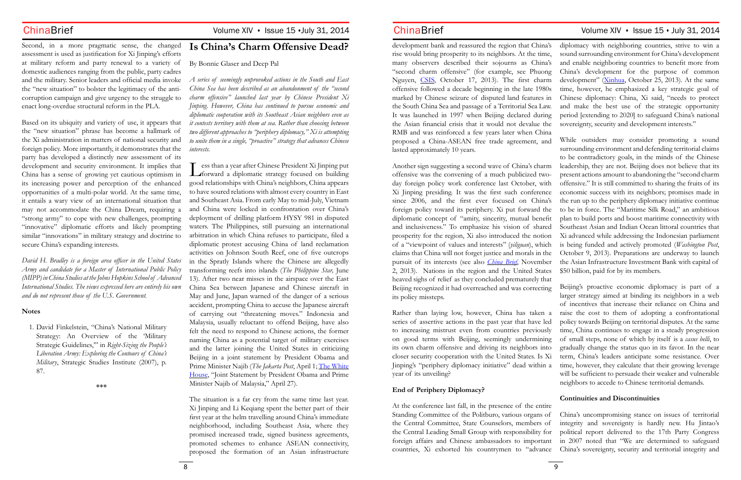# Second, in a more pragmatic sense, the changed assessment is used as justification for Xi Jinping's efforts at military reform and party renewal to a variety of domestic audiences ranging from the public, party cadres the "new situation" to bolster the legitimacy of the anticorruption campaign and give urgency to the struggle to enact long-overdue structural reform in the PLA.

Based on its ubiquity and variety of use, it appears that the "new situation" phrase has become a hallmark of the Xi administration in matters of national security and foreign policy. More importantly, it demonstrates that the party has developed a distinctly new assessment of its development and security environment. It implies that China has a sense of growing yet cautious optimism in its increasing power and perception of the enhanced opportunities of a multi-polar world. At the same time, it entails a wary view of an international situation that may not accommodate the China Dream, requiring a "strong army" to cope with new challenges, prompting "innovative" diplomatic efforts and likely prompting similar "innovations" in military strategy and doctrine to secure China's expanding interests.

and the military. Senior leaders and official media invoke *A series of seemingly unprovoked actions in the South and East China Sea has been described as an abandonment of the "second charm offensive" launched last year by Chinese President Xi Jinping. However, China has continued to pursue economic and diplomatic cooperation with its Southeast Asian neighbors even as it contests territory with them at sea. Rather than choosing between two different approaches to "periphery diplomacy," Xi is attempting to unite them in a single, "proactive" strategy that advances Chinese interests.*

*David H. Bradley is a foreign area officer in the United States Army and candidate for a Master of International Public Policy (MIPP) in China Studies at the Johns Hopkins School of Advanced International Studies. The views expressed here are entirely his own and do not represent those of the U.S. Government.*

# **Notes**

1. David Finkelstein, "China's National Military Strategy: An Overview of the 'Military Strategic Guidelines,'" in *Right-Sizing the People's Liberation Army: Exploring the Contours of China's Military*, Strategic Studies Institute (2007), p. 87.

**\*\*\***

# **Is China's Charm Offensive Dead?**

# By Bonnie Glaser and Deep Pal

Less than a year after Chinese President Xi Jinping put forward a diplomatic strategy focused on building good relationships with China's neighbors, China appears to have soured relations with almost every country in East and Southeast Asia. From early May to mid-July, Vietnam and China were locked in confrontation over China's deployment of drilling platform HYSY 981 in disputed waters. The Philippines, still pursuing an international arbitration in which China refuses to participate, filed a diplomatic protest accusing China of land reclamation activities on Johnson South Reef, one of five outcrops in the Spratly Islands where the Chinese are allegedly transforming reefs into islands (*The Philippine Star,* June 13). After two near misses in the airspace over the East China Sea between Japanese and Chinese aircraft in May and June, Japan warned of the danger of a serious accident, prompting China to accuse the Japanese aircraft of carrying out "threatening moves." Indonesia and Malaysia, usually reluctant to offend Beijing, have also felt the need to respond to Chinese actions, the former naming China as a potential target of military exercises and the latter joining the United States in criticizing Beijing in a joint statement by President Obama and Prime Minister Najib (*The Jakarta Post*, April 1; [The White](http://www.whitehouse.gov/the-press-office/2014/04/27/joint-statement-president-obama-and-prime-minister-najib-malaysia-0) [House](http://www.whitehouse.gov/the-press-office/2014/04/27/joint-statement-president-obama-and-prime-minister-najib-malaysia-0), "Joint Statement by President Obama and Prime Minister Najib of Malaysia," April 27).

The situation is a far cry from the same time last year. Xi Jinping and Li Keqiang spent the better part of their first year at the helm travelling around China's immediate neighborhood, including Southeast Asia, where they promised increased trade, signed business agreements, promoted schemes to enhance ASEAN connectivity, proposed the formation of an Asian infrastructure

development bank and reassured the region that China's rise would bring prosperity to its neighbors. At the time, many observers described their sojourns as China's "second charm offensive" (for example, see Phuong Nguyen, [CSIS](http://csis.org/publication/chinas-charm-offensive-signals-new-strategic-era-southeast-asia), October 17, 2013). The first charm offensive followed a decade beginning in the late 1980s marked by Chinese seizure of disputed land features in the South China Sea and passage of a Territorial Sea Law. It was launched in 1997 when Beijing declared during the Asian financial crisis that it would not devalue the RMB and was reinforced a few years later when China diplomacy with neighboring countries, strive to win a sound surrounding environment for China's development and enable neighboring countries to benefit more from China's development for the purpose of common development" ([Xinhua](http://news.xinhuanet.com/politics/2013-10/25/c_117878897.htm), October 25, 2013). At the same time, however, he emphasized a key strategic goal of Chinese diplomacy: China, Xi said, "needs to protect and make the best use of the strategic opportunity period [extending to 2020] to safeguard China's national sovereignty, security and development interests." While outsiders may consider promoting a sound surrounding environment and defending territorial claims

# **End of Periphery Diplomacy?**

proposed a China-ASEAN free trade agreement, and lasted approximately 10 years. Another sign suggesting a second wave of China's charm offensive was the convening of a much publicized twoday foreign policy work conference last October, with Xi Jinping presiding. It was the first such conference since 2006, and the first ever focused on China's foreign policy toward its periphery. Xi put forward the diplomatic concept of "amity, sincerity, mutual benefit and inclusiveness." To emphasize his vision of shared prosperity for the region, Xi also introduced the notion of a "viewpoint of values and interests" (*yiliguan*), which claims that China will not forget justice and morals in the pursuit of its interests (see also *[China Brief](http://www.jamestown.org/programs/chinabrief/single/?tx_ttnews%5Btt_news%5D=41594&tx_ttnews%5BbackPid%5D=688&no_cache=1)*, November 2, 2013). Nations in the region and the United States heaved sighs of relief as they concluded prematurely that Beijing recognized it had overreached and was correcting its policy missteps. to be contradictory goals, in the minds of the Chinese leadership, they are not. Beijing does not believe that its present actions amount to abandoning the "second charm offensive." It is still committed to sharing the fruits of its economic success with its neighbors; promises made in the run up to the periphery diplomacy initiative continue to be in force. The "Maritime Silk Road," an ambitious plan to build ports and boost maritime connectivity with Southeast Asian and Indian Ocean littoral countries that Xi advanced while addressing the Indonesian parliament is being funded and actively promoted (*Washington Post*, October 9, 2013). Preparations are underway to launch the Asian Infrastructure Investment Bank with capital of \$50 billion, paid for by its members. Beijing's proactive economic diplomacy is part of a larger strategy aimed at binding its neighbors in a web

Rather than laying low, however, China has taken a series of assertive actions in the past year that have led to increasing mistrust even from countries previously on good terms with Beijing, seemingly undermining its own charm offensive and driving its neighbors into closer security cooperation with the United States. Is Xi Jinping's "periphery diplomacy initiative" dead within a year of its unveiling? of incentives that increase their reliance on China and raise the cost to them of adopting a confrontational policy towards Beijing on territorial disputes. At the same time, China continues to engage in a steady progression of small steps, none of which by itself is a *casus belli*, to gradually change the status quo in its favor. In the near term, China's leaders anticipate some resistance. Over time, however, they calculate that their growing leverage will be sufficient to persuade their weaker and vulnerable neighbors to accede to Chinese territorial demands.

At the conference last fall, in the presence of the entire Standing Committee of the Politburo, various organs of the Central Committee, State Counselors, members of the Central Leading Small Group with responsibility for foreign affairs and Chinese ambassadors to important countries, Xi exhorted his countrymen to "advance China's uncompromising stance on issues of territorial integrity and sovereignty is hardly new. Hu Jintao's political report delivered to the 17th Party Congress in 2007 noted that "We are determined to safeguard China's sovereignty, security and territorial integrity and

# ChinaBrief Volume XIV · Issue 15 · July 31, 2014 ChinaBrief Volume XIV · Issue 15 · July 31, 2014

# **Continuities and Discontinuities**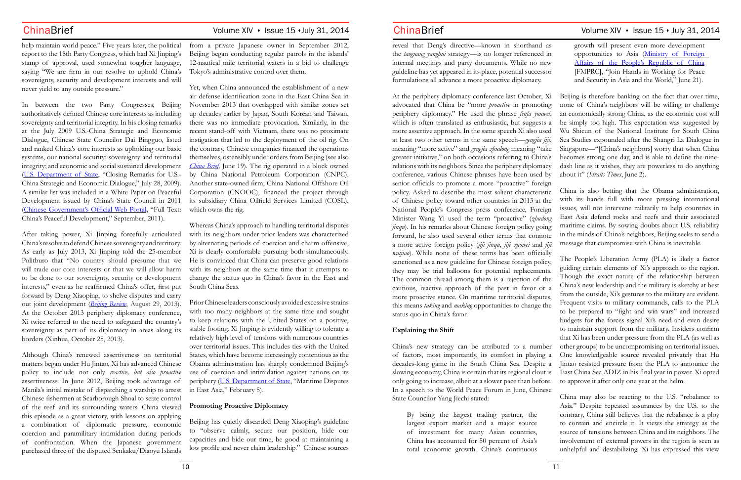help maintain world peace." Five years later, the political report to the 18th Party Congress, which had Xi Jinping's stamp of approval, used somewhat tougher language, saying "We are firm in our resolve to uphold China's sovereignty, security and development interests and will never yield to any outside pressure."

In between the two Party Congresses, Beijing authoritatively defined Chinese core interests as including sovereignty and territorial integrity. In his closing remarks at the July 2009 U.S.-China Strategic and Economic Dialogue, Chinese State Councilor Dai Bingguo, listed and ranked China's core interests as upholding our basic systems, our national security; sovereignty and territorial integrity; and economic and social sustained development [\(U.S. Department of State](http://www.state.gov/secretary/20092013clinton/rm/2009a/july/126599.htm), "Closing Remarks for U.S.- China Strategic and Economic Dialogue," July 28, 2009). A similar list was included in a White Paper on Peaceful Development issued by China's State Council in 2011 [\(Chinese Government's Official Web Portal,](http://english.gov.cn/official/2011-09/06/content_1941354.htm) "Full Text: China's Peaceful Development," September, 2011).

After taking power, Xi Jinping forcefully articulated China's resolve to defend Chinese sovereignty and territory. As early as July 2013, Xi Jinping told the 25-member Politburo that "No country should presume that we will trade our core interests or that we will allow harm to be done to our sovereignty, security or development interests," even as he reaffirmed China's offer, first put forward by Deng Xiaoping, to shelve disputes and carry out joint development (*[Beijing Review](http://www.bjreview.com.cn/print/txt/2013-08/26/content_562998.htm)*, August 29, 2013). At the October 2013 periphery diplomacy conference, Xi twice referred to the need to safeguard the country's sovereignty as part of its diplomacy in areas along its borders (Xinhua, October 25, 2013).

Although China's renewed assertiveness on territorial matters began under Hu Jintao, Xi has advanced Chinese policy to include not only *reactive, but also proactive* assertiveness. In June 2012, Beijing took advantage of Manila's initial mistake of dispatching a warship to arrest Chinese fishermen at Scarborough Shoal to seize control of the reef and its surrounding waters. China viewed this episode as a great victory, with lessons on applying a combination of diplomatic pressure, economic coercion and paramilitary intimidation during periods of confrontation. When the Japanese government purchased three of the disputed Senkaku/Diaoyu Islands

reveal that Deng's directive—known in shorthand the *taoguang yanghui* strategy—is no longer referenced internal meetings and party documents. While no n guideline has yet appeared in its place, potential success formulations all advance a more proactive diplomacy.

from a private Japanese owner in September 2012, Beijing began conducting regular patrols in the islands' 12-nautical mile territorial waters in a bid to challenge Tokyo's administrative control over them.

Yet, when China announced the establishment of a new air defense identification zone in the East China Sea in November 2013 that overlapped with similar zones set up decades earlier by Japan, South Korean and Taiwan, there was no immediate provocation. Similarly, in the recent stand-off with Vietnam, there was no proximate instigation that led to the deployment of the oil rig. On the contrary, Chinese companies financed the operations themselves, ostensibly under orders from Beijing (see also *[China Brief](http://www.jamestown.org/programs/chinabrief/single/?tx_ttnews%5Btt_news%5D=42519&tx_ttnews%5BbackPid%5D=758&no_cache=1),* June 19). The rig operated in a block owned by China National Petroleum Corporation (CNPC). Another state-owned firm, China National Offshore Oil Corporation (CNOOC), financed the project through its subsidiary China Oilfield Services Limited (COSL), which owns the rig.

Whereas China's approach to handling territorial disputes with its neighbors under prior leaders was characterized by alternating periods of coercion and charm offensive, Xi is clearly comfortable pursuing both simultaneously. He is convinced that China can preserve good relations with its neighbors at the same time that it attempts to change the status quo in China's favor in the East and South China Seas.

Prior Chinese leaders consciously avoided excessive strains with too many neighbors at the same time and sought to keep relations with the United States on a positive, stable footing. Xi Jinping is evidently willing to tolerate a relatively high level of tensions with numerous countries over territorial issues. This includes ties with the United States, which have become increasingly contentious as the Obama administration has sharply condemned Beijing's use of coercion and intimidation against nations on its periphery [\(U.S. Department of State,](http://www.state.gov/p/eap/rls/rm/2014/02/221293.htm) "Maritime Disputes in East Asia," February 5).

### **Promoting Proactive Diplomacy**

Beijing has quietly discarded Deng Xiaoping's guideline to "observe calmly, secure our position, hide our capacities and bide our time, be good at maintaining a low profile and never claim leadership." Chinese sources

At the periphery diplomacy conference last October, Xi advocated that China be "more *proactive* in promoting periphery diplomacy." He used the phrase *fenfa youwei*, which is often translated as enthusiastic, but suggests a more assertive approach. In the same speech Xi also used at least two other terms in the same speech—*gengjia jiji*, meaning "more active" and *gengjia zhudong* meaning "take greater initiative," on both occasions referring to China's relations with its neighbors. Since the periphery diplomacy conference, various Chinese phrases have been used by senior officials to promote a more "proactive" foreign policy. Asked to describe the most salient characteristic of Chinese policy toward other countries in 2013 at the National People's Congress press conference, Foreign Minister Wang Yi used the term "proactive" (*zhudong jinqu*). In his remarks about Chinese foreign policy going forward, he also used several other terms that connote a more active foreign policy (*jiji jinqu*, *jiji zuowei* and *jiji waijiao*). While none of these terms has been officially sanctioned as a new guideline for Chinese foreign policy, they may be trial balloons for potential replacements. The common thread among them is a rejection of the cautious, reactive approach of the past in favor or a more proactive stance. On maritime territorial disputes, this means *taking* and *making* opportunities to change the status quo in China's favor. Beijing is therefore banking on the fact that over time, none of China's neighbors will be willing to challenge an economically strong China, as the economic cost will be simply too high. This expectation was suggested by Wu Shicun of the National Institute for South China Sea Studies expounded after the Shangri La Dialogue in Singapore—"[China's neighbors] worry that when China becomes strong one day, and is able to define the ninedash line as it wishes, they are powerless to do anything about it" (*Straits Times*, June 2). China is also betting that the Obama administration, with its hands full with more pressing international issues, will not intervene militarily to help countries in East Asia defend rocks and reefs and their associated maritime claims. By sowing doubts about U.S. reliability in the minds of China's neighbors, Beijing seeks to send a message that compromise with China is inevitable. guiding certain elements of Xi's approach to the region. Though the exact nature of the relationship between China's new leadership and the military is sketchy at best from the outside, Xi's gestures to the military are evident. Frequent visits to military commands, calls to the PLA to be prepared to "fight and win wars" and increased

By being the largest trading partner, the largest export market and a major source of investment for many Asian countries, China has accounted for 50 percent of Asia's total economic growth. China's continuous

# ChinaBrief Volume XIV · Issue 15 · July 31, 2014 ChinaBrief Volume XIV · Issue 15 · July 31, 2014

| as  | growth will present even more development      |
|-----|------------------------------------------------|
| 1n  | opportunities to Asia (Ministry of Foreign     |
| ew  | Affairs of the People's Republic of China      |
| sor | [FMPRC], "Join Hands in Working for Peace      |
|     | and Security in Asia and the World," June 21). |

**Explaining the Shift** China's new strategy can be attributed to a number of factors, most importantly, its comfort in playing a decades-long game in the South China Sea. Despite a slowing economy, China is certain that its regional clout is only going to increase, albeit at a slower pace than before. In a speech to the World Peace Forum in June, Chinese State Councilor Yang Jiechi stated: The People's Liberation Army (PLA) is likely a factor budgets for the forces signal Xi's need and even desire to maintain support from the military. Insiders confirm that Xi has been under pressure from the PLA (as well as other groups) to be uncompromising on territorial issues. One knowledgeable source revealed privately that Hu Jintao resisted pressure from the PLA to announce the East China Sea ADIZ in his final year in power. Xi opted to approve it after only one year at the helm. China may also be reacting to the U.S. "rebalance to

Asia." Despite repeated assurances by the U.S. to the contrary, China still believes that the rebalance is a ploy to contain and encircle it. It views the strategy as the source of tensions between China and its neighbors. The involvement of external powers in the region is seen as unhelpful and destabilizing. Xi has expressed this view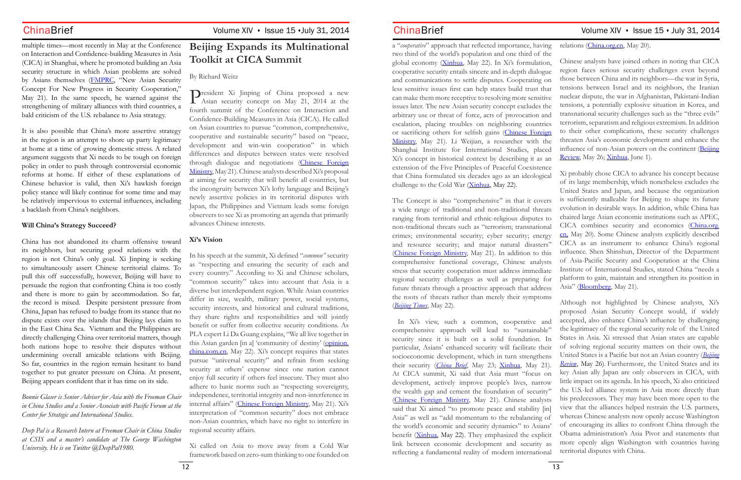a "*cooperative*" approach that reflected importance, having two third of the world's population and one third of the global economy ([Xinhua](http://www.wantchinatimes.com/news-subclass-cnt.aspx?cid=1101&MainCatID=11&id=20140522000134), May 22). In Xi's formulation, cooperative security entails sincere and in-depth dialogue and communications to settle disputes. Cooperating on less sensitive issues first can help states build trust that can make them more receptive to resolving more sensitive issues later. The new Asian security concept excludes the arbitrary use or threat of force, acts of provocation and escalation, placing troubles on neighboring countries or sacrificing others for selfish gains ([Chinese Foreign](http://www.mfa.gov.cn/mfa_chn/zyxw_602251/t1158070.shtml) [Ministry,](http://www.mfa.gov.cn/mfa_chn/zyxw_602251/t1158070.shtml) May 21). Li Weijian, a researcher with the Shanghai Institute for International Studies, placed Xi's concept in historical context by describing it as an extension of the Five Principles of Peaceful Coexistence Chinese analysts have joined others in noting that CICA region faces serious security challenges even beyond those between China and its neighbors—the war in Syria, tensions between Israel and its neighbors, the Iranian nuclear dispute, the war in Afghanistan, Pakistani-Indian tensions, a potentially explosive situation in Korea, and transnational security challenges such as the "three evils" terrorism, separatism and religious extremism. In addition to their other complications, these security challenges threaten Asia's economic development and enhance the influence of non-Asian powers on the continent ([Beijing](http://www.bjreview.com.cn/print/txt/2014-05/26/content_620697_3.htm) [Review](http://www.bjreview.com.cn/print/txt/2014-05/26/content_620697_3.htm), May 26; [Xinhua](http://english.cntv.cn/2014/06/01/ARTI1401630780988856.shtml), June 1). Xi probably chose CICA to advance his concept because

that China formulated six decades ago as an ideological challenge to the Cold War ([Xinhua](http://www.wantchinatimes.com/news-subclass-cnt.aspx?cid=1101&MainCatID=11&id=20140522000134), May 22). The Concept is also "comprehensive" in that it covers a wide range of traditional and non-traditional threats ranging from territorial and ethnic-religious disputes to non-traditional threats such as "terrorism; transnational crimes; environmental security; cyber security; energy and resource security; and major natural disasters" [\(Chinese Foreign Ministry,](http://www.mfa.gov.cn/mfa_chn/zyxw_602251/t1158070.shtml) May 21). In addition to this comprehensive functional coverage, Chinese analysts stress that security cooperation must address immediate regional security challenges as well as preparing for future threats through a proactive approach that address the roots of threats rather than merely their symptoms (*[Beijing Times](http://news.ifeng.com/a/20140522/40400390_0.shtml)*, May 22). of its large membership, which nonetheless excludes the United States and Japan, and because the organization is sufficiently malleable for Beijing to shape its future evolution in desirable ways. In addition, while China has chaired large Asian economic institutions such as APEC, CICA combines security and economics [\(China.org.](http://www.china.org.cn/opinion/2014-05/20/content_32435670.htm) [cn,](http://www.china.org.cn/opinion/2014-05/20/content_32435670.htm) May 20). Some Chinese analysts explicitly described CICA as an instrument to enhance China's regional influence. Shen Shinshun, Director of the Department of Asia-Pacific Security and Cooperation at the China Institute of International Studies, stated China "needs a platform to gain, maintain and strengthen its position in Asia" ([Bloomberg,](http://www.bloomberg.com/news/2014-05-21/china-s-xi-calls-for-asia-security-framework-at-summit.html) May 21). Although not highlighted by Chinese analysts, Xi's

 In Xi's view, such a common, cooperative and comprehensive approach will lead to "sustainable" security since it is built on a solid foundation. In particular, Asians' enhanced security will facilitate their socioeconomic development, which in turn strengthens their security (*[China Brief](http://www.jamestown.org/programs/chinabrief/single/?tx_ttnews%5Btt_news%5D=42413&tx_ttnews%5BbackPid%5D=25&cHash=cef94419091b1ae6d1471bf8c91a8220#.U44Fv-lOW20)*, May 23; [Xinhua](http://www.china.org.cn/china/Off_the_Wire/2014-05/21/content_32454181.htm), May 21). At CICA summit, Xi said that Asia must "focus on development, actively improve people's lives, narrow the wealth gap and cement the foundation of security" [\(Chinese Foreign Ministry](http://www.mfa.gov.cn/mfa_chn/zyxw_602251/t1158070.shtml), May 21). Chinese analysts said that Xi aimed "to promote peace and stability [in] Asia" as well as "add momentum to the rebalancing of the world's economic and security dynamics" to Asians' benefit ([Xinhua](http://www.wantchinatimes.com/news-subclass-cnt.aspx?cid=1101&MainCatID=11&id=20140522000134), May 22). They emphasized the explicit link between economic development and security as reflecting a fundamental reality of modern international proposed Asian Security Concept would, if widely accepted, also enhance China's influence by challenging the legitimacy of the regional security role of the United States in Asia. Xi stressed that Asian states are capable of solving regional security matters on their own, the United States is a Pacific but not an Asian country (*[Beijing](http://www.bjreview.com.cn/print/txt/2014-05/26/content_620697_3.htm) [Review](http://www.bjreview.com.cn/print/txt/2014-05/26/content_620697_3.htm)*, May 26). Furthermore, the United States and its key Asian ally Japan are only observers in CICA, with little impact on its agenda. In his speech, Xi also criticized the U.S.-led alliance system in Asia more directly than his predecessors. They may have been more open to the view that the alliances helped restrain the U.S. partners, whereas Chinese analysts now openly accuse Washington of encouraging its allies to confront China through the Obama administration's Asia Pivot and statements that more openly align Washington with countries having territorial disputes with China.

# ChinaBrief Volume XIV · Issue 15 · July 31, 2014 ChinaBrief Volume XIV · Issue 15 · July 31, 2014

relations (*China.org.cn*, May 20).

multiple times—most recently in May at the Conference on Interaction and Confidence-building Measures in Asia (CICA) in Shanghai, where he promoted building an Asia security structure in which Asian problems are solved by Asians themselves ([FMPRC](http://www.fmprc.gov.cn/mfa_eng/zxxx_662805/t1159951.shtml), "New Asian Security Concept For New Progress in Security Cooperation," May 21). In the same speech, he warned against the strengthening of military alliances with third countries, a bald criticism of the U.S. rebalance to Asia strategy.

It is also possible that China's more assertive strategy in the region is an attempt to shore up party legitimacy at home at a time of growing domestic stress. A related argument suggests that Xi needs to be tough on foreign policy in order to push through controversial economic reforms at home. If either of these explanations of Chinese behavior is valid, then Xi's hawkish foreign policy stance will likely continue for some time and may be relatively impervious to external influences, including a backlash from China's neighbors.

### **Will China's Strategy Succeed?**

China has not abandoned its charm offensive toward its neighbors, but securing good relations with the region is not China's only goal. Xi Jinping is seeking to simultaneously assert Chinese territorial claims. To pull this off successfully, however, Beijing will have to persuade the region that confronting China is too costly and there is more to gain by accommodation. So far, the record is mixed. Despite persistent pressure from China, Japan has refused to budge from its stance that no dispute exists over the islands that Beijing lays claim to in the East China Sea. Vietnam and the Philippines are directly challenging China over territorial matters, though both nations hope to resolve their disputes without undermining overall amicable relations with Beijing. So far, countries in the region remain hesitant to band together to put greater pressure on China. At present, Beijing appears confident that it has time on its side.

*Bonnie Glaser is Senior Adviser for Asia with the Freeman Chair in China Studies and a Senior Associate with Pacific Forum at the Center for Strategic and International Studies.* 

*Deep Pal is a Research Intern at Freeman Chair in China Studies at CSIS and a master's candidate at The George Washington University. He is on Twitter @DeepPal1980.*

# **Beijing Expands its Multinational Toolkit at CICA Summit**

By Richard Weitz

President Xi Jinping of China proposed a new Asian security concept on May 21, 2014 at the fourth summit of the Conference on Interaction and Confidence-Building Measures in Asia (CICA). He called on Asian countries to pursue "common, comprehensive, cooperative and sustainable security" based on "peace, development and win-win cooperation" in which differences and disputes between states were resolved through dialogue and negotiations ([Chinese Foreign](http://www.mfa.gov.cn/mfa_chn/zyxw_602251/t1158070.shtml)  [Ministry,](http://www.mfa.gov.cn/mfa_chn/zyxw_602251/t1158070.shtml) May 21). Chinese analysts described Xi's proposal at aiming for security that will benefit all countries, but the incongruity between Xi's lofty language and Beijing's newly assertive policies in its territorial disputes with Japan, the Philippines and Vietnam leads some foreign observers to see Xi as promoting an agenda that primarily advances Chinese interests.

# **Xi's Vision**

In his speech at the summit, Xi defined "*common"* security as "respecting and ensuring the security of each and every country." According to Xi and Chinese scholars, "common security" takes into account that Asia is a diverse but interdependent region. While Asian countries differ in size, wealth, military power, social systems, security interests, and historical and cultural traditions, they share rights and responsibilities and will jointly benefit or suffer from collective security conditions. As PLA expert Li Da Guang explains, "We all live together in this Asian garden [in a] 'community of destiny' [\(opinion.](http://opinion.china.com.cn/opinion_2_99402.html) [china.com.cn](http://opinion.china.com.cn/opinion_2_99402.html), May 22). Xi's concept requires that states pursue "universal security" and refrain from seeking security at others' expense since one nation cannot enjoy full security if others feel insecure. They must also adhere to basic norms such as "respecting sovereignty, independence, territorial integrity and non-interference in internal affairs" [\(Chinese Foreign Ministry](http://www.mfa.gov.cn/mfa_chn/zyxw_602251/t1158070.shtml), May 21). Xi's interpretation of "common security" does not embrace non-Asian countries, which have no right to interfere in regional security affairs.

Xi called on Asia to move away from a Cold War framework based on zero-sum thinking to one founded on